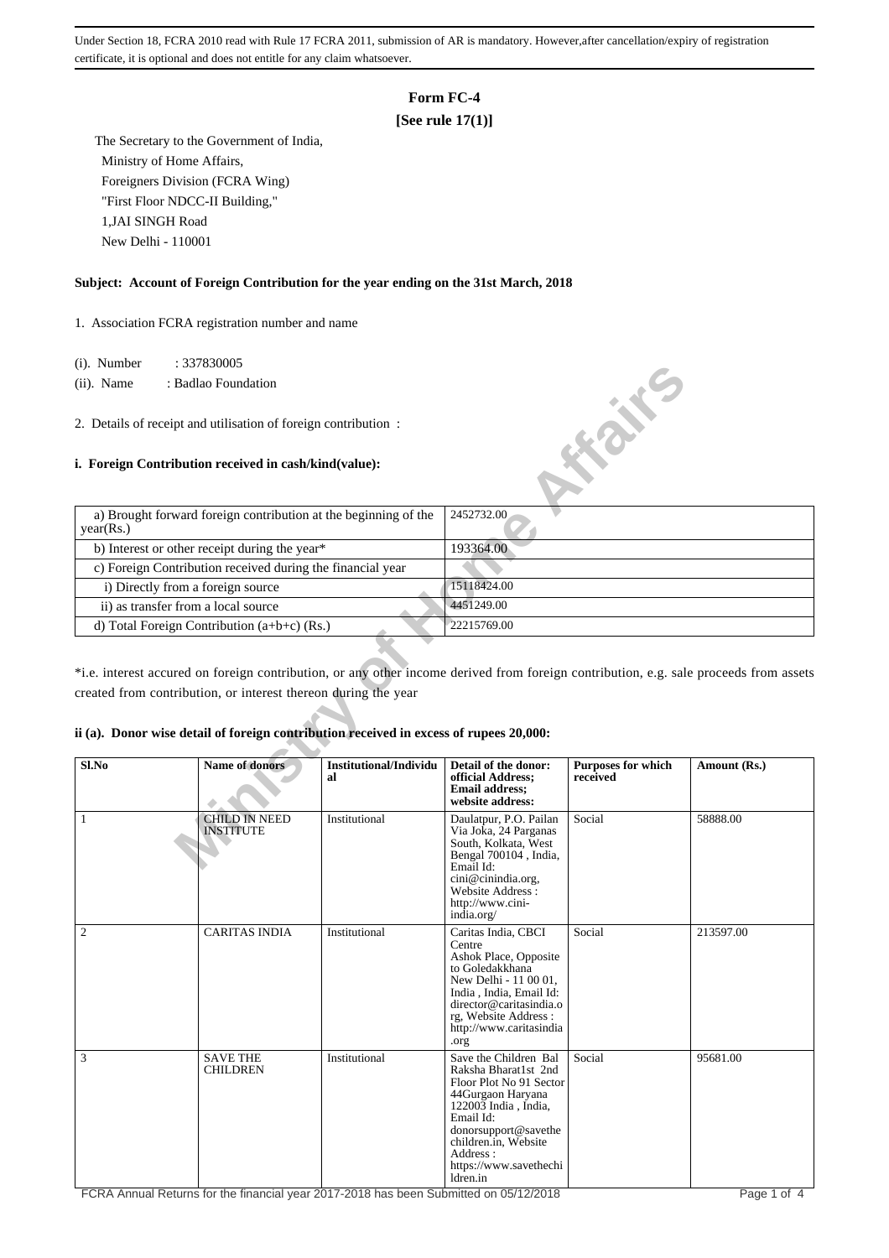# **Form FC-4**

## **[See rule 17(1)]**

 The Secretary to the Government of India, Ministry of Home Affairs, Foreigners Division (FCRA Wing) "First Floor NDCC-II Building," 1,JAI SINGH Road New Delhi - 110001

#### **Subject: Account of Foreign Contribution for the year ending on the 31st March, 2018**

1. Association FCRA registration number and name

(i). Number : 337830005

 (ii). Name : Badlao Foundation

2. Details of receipt and utilisation of foreign contribution :

### **i. Foreign Contribution received in cash/kind(value):**



\*i.e. interest accured on foreign contribution, or any other income derived from foreign contribution, e.g. sale proceeds from assets created from contribution, or interest thereon during the year

#### **ii (a). Donor wise detail of foreign contribution received in excess of rupees 20,000:**

| Sl.No          | Name of donors                           | Institutional/Individu<br>al | Detail of the donor:<br>official Address;<br><b>Email address:</b><br>website address:                                                                                                                                               | <b>Purposes for which</b><br>received | Amount (Rs.) |
|----------------|------------------------------------------|------------------------------|--------------------------------------------------------------------------------------------------------------------------------------------------------------------------------------------------------------------------------------|---------------------------------------|--------------|
| $\mathbf{1}$   | <b>CHILD IN NEED</b><br><b>INSTITUTE</b> | Institutional                | Daulatpur, P.O. Pailan<br>Via Joka, 24 Parganas<br>South, Kolkata, West<br>Bengal 700104, India,<br>Email Id:<br>cini@cinindia.org,<br>Website Address:<br>http://www.cini-<br>india.org/                                            | Social                                | 58888.00     |
| $\overline{2}$ | <b>CARITAS INDIA</b>                     | Institutional                | Caritas India, CBCI<br>Centre<br>Ashok Place, Opposite<br>to Goledakkhana<br>New Delhi - 11 00 01,<br>India, India, Email Id:<br>director@caritasindia.o<br>rg, Website Address:<br>http://www.caritasindia<br>.org                  | Social                                | 213597.00    |
| 3              | <b>SAVE THE</b><br><b>CHILDREN</b>       | Institutional                | Save the Children Bal<br>Raksha Bharat1st 2nd<br>Floor Plot No 91 Sector<br>44Gurgaon Haryana<br>122003 India, India,<br>Email Id:<br>donorsupport@savethe<br>children.in, Website<br>Address:<br>https://www.savethechi<br>ldren.in | Social                                | 95681.00     |

FCRA Annual Returns for the financial year 2017-2018 has been Submitted on 05/12/2018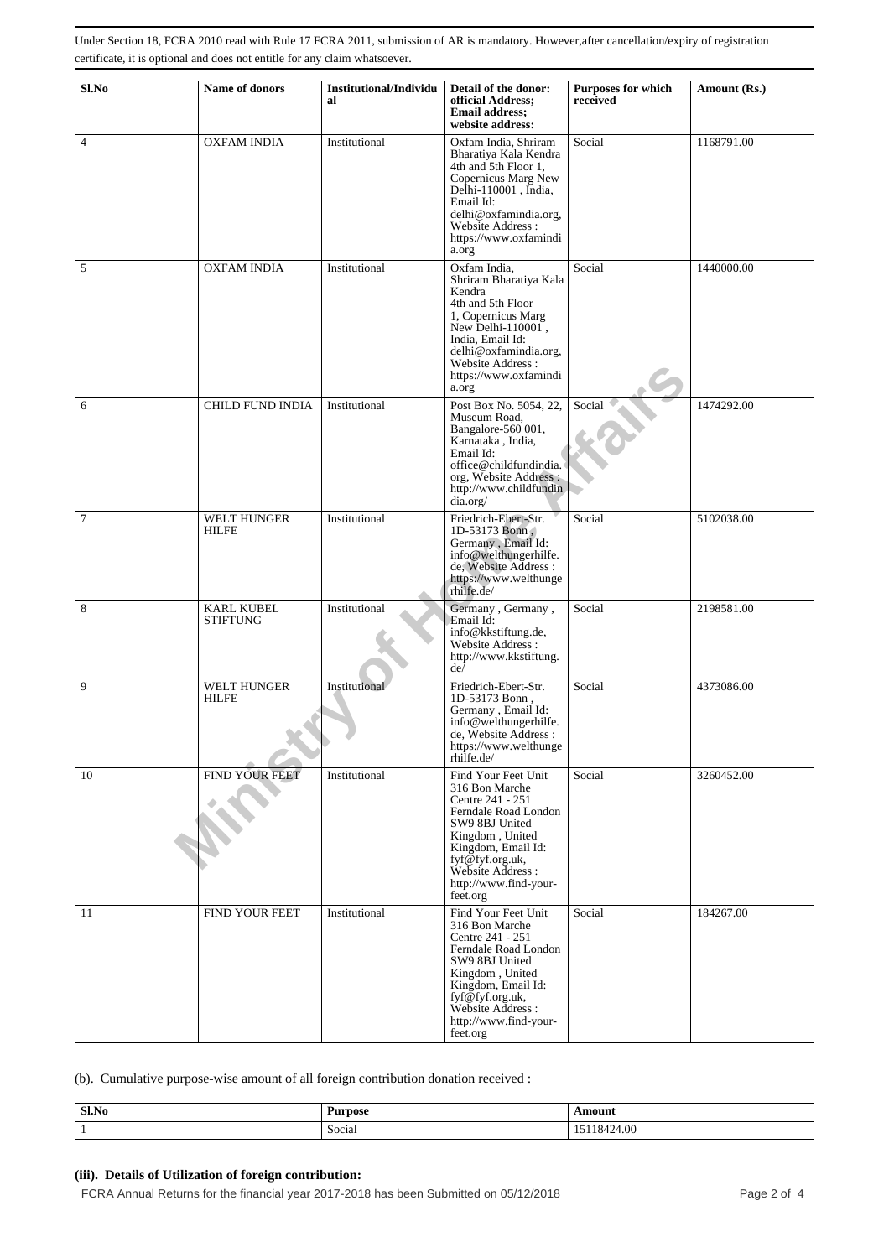| Sl.No          | Name of donors                       | Institutional/Individu<br>al | Detail of the donor:<br>official Address;<br><b>Email address;</b><br>website address:                                                                                                                                    | <b>Purposes for which</b><br>received | Amount (Rs.) |
|----------------|--------------------------------------|------------------------------|---------------------------------------------------------------------------------------------------------------------------------------------------------------------------------------------------------------------------|---------------------------------------|--------------|
| $\overline{4}$ | <b>OXFAM INDIA</b>                   | Institutional                | Oxfam India, Shriram<br>Bharatiya Kala Kendra<br>4th and 5th Floor 1,<br>Copernicus Marg New<br>Delhi-110001, India,<br>Email Id:<br>delhi@oxfamindia.org,<br>Website Address:<br>https://www.oxfamindi<br>a.org          | Social                                | 1168791.00   |
| 5              | <b>OXFAM INDIA</b>                   | Institutional                | Oxfam India,<br>Shriram Bharatiya Kala<br>Kendra<br>4th and 5th Floor<br>1, Copernicus Marg<br>New Delhi- $110001$ ,<br>India, Email Id:<br>delhi@oxfamindia.org,<br>Website Address:<br>https://www.oxfamindi<br>a.org   | Social                                | 1440000.00   |
| 6              | CHILD FUND INDIA                     | Institutional                | Post Box No. 5054, 22,<br>Museum Road.<br>Bangalore-560 001,<br>Karnataka, India,<br>Email Id:<br>office@childfundindia.<br>org, Website Address:<br>http://www.childfundin<br>dia.org/                                   | Social                                | 1474292.00   |
| $\tau$         | <b>WELT HUNGER</b><br><b>HILFE</b>   | Institutional                | Friedrich-Ebert-Str.<br>1D-53173 Bonn.<br>Germany, Email Id:<br>info@welthungerhilfe.<br>de, Website Address :<br>https://www.welthunge<br>rhilfe.de/                                                                     | Social                                | 5102038.00   |
| 8              | <b>KARL KUBEL</b><br><b>STIFTUNG</b> | Institutional                | Germany, Germany,<br>Email Id:<br>info@kkstiftung.de,<br>Website Address:<br>http://www.kkstiftung.<br>de <sup>j</sup>                                                                                                    | Social                                | 2198581.00   |
| 9              | <b>WELT HUNGER</b><br><b>HILFE</b>   | Institutional                | Friedrich-Ebert-Str.<br>1D-53173 Bonn,<br>Germany, Email Id:<br>info@welthungerhilfe.<br>de, Website Address :<br>https://www.welthunge<br>rhilfe.de/                                                                     | Social                                | 4373086.00   |
| 10             | FIND YOUR FEET                       | Institutional                | Find Your Feet Unit<br>316 Bon Marche<br>Centre 241 - 251<br>Ferndale Road London<br>SW9 8BJ United<br>Kingdom, United<br>Kingdom, Email Id:<br>fyf@fyf.org.uk,<br>Website Address :<br>http://www.find-your-<br>feet.org | Social                                | 3260452.00   |
| 11             | <b>FIND YOUR FEET</b>                | Institutional                | Find Your Feet Unit<br>316 Bon Marche<br>Centre 241 - 251<br>Ferndale Road London<br>SW9 8BJ United<br>Kingdom, United<br>Kingdom, Email Id:<br>fyf@fyf.org.uk,<br>Website Address:<br>http://www.find-your-<br>feet.org  | Social                                | 184267.00    |

(b). Cumulative purpose-wise amount of all foreign contribution donation received :

| Sl.No | Purpose                 | Amount               |
|-------|-------------------------|----------------------|
|       | $\sim$ $\sim$<br>Social | $\Omega$<br>.0424.00 |

## **(iii). Details of Utilization of foreign contribution:**

FCRA Annual Returns for the financial year 2017-2018 has been Submitted on 05/12/2018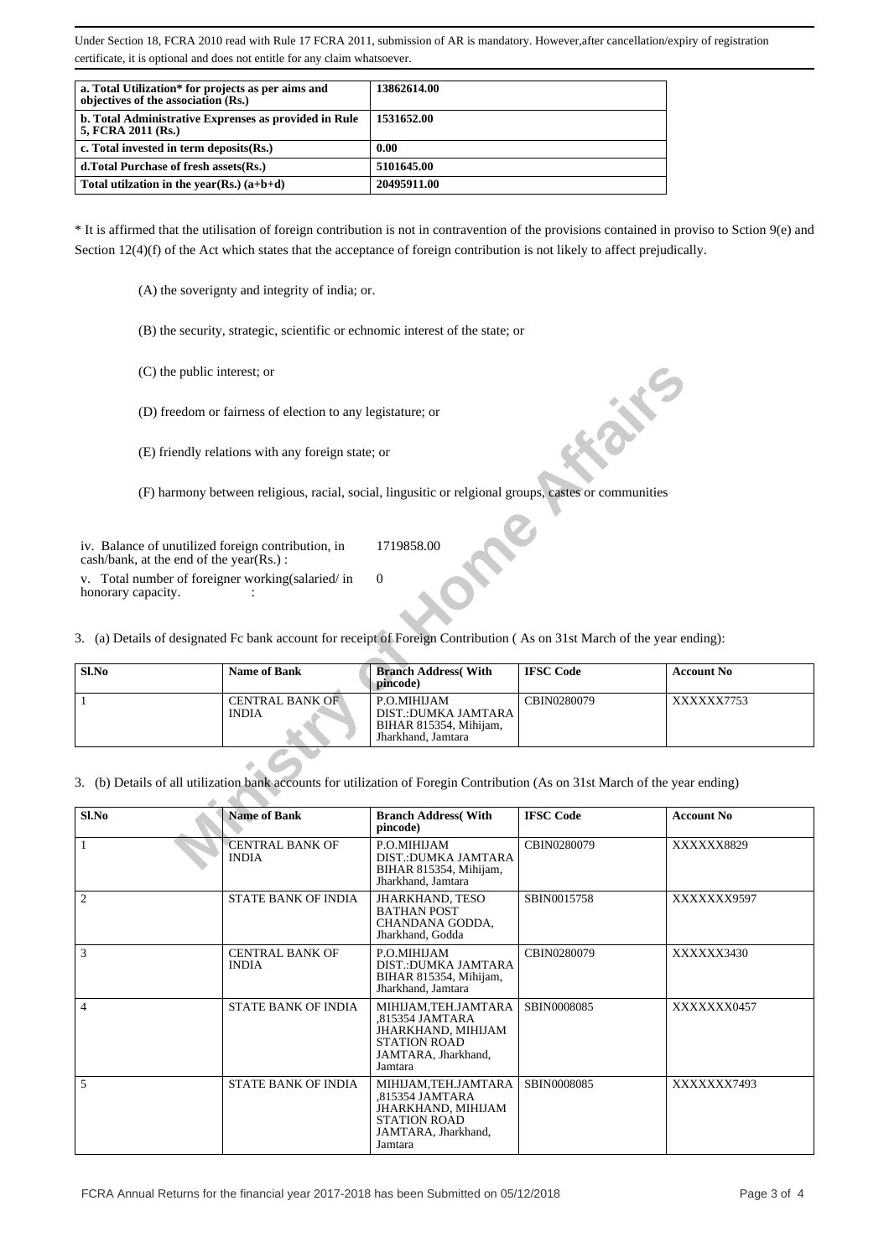| a. Total Utilization* for projects as per aims and<br>objectives of the association (Rs.) | 13862614.00 |
|-------------------------------------------------------------------------------------------|-------------|
| b. Total Administrative Exprenses as provided in Rule<br>5, FCRA 2011 (Rs.)               | 1531652.00  |
| c. Total invested in term deposits (Rs.)                                                  | 0.00        |
| d. Total Purchase of fresh assets (Rs.)                                                   | 5101645.00  |
| Total utilization in the year(Rs.) $(a+b+d)$                                              | 20495911.00 |

\* It is affirmed that the utilisation of foreign contribution is not in contravention of the provisions contained in proviso to Sction 9(e) and Section 12(4)(f) of the Act which states that the acceptance of foreign contribution is not likely to affect prejudically.

(A) the soverignty and integrity of india; or.

(B) the security, strategic, scientific or echnomic interest of the state; or

- (C) the public interest; or
- (D) freedom or fairness of election to any legistature; or
- (E) friendly relations with any foreign state; or

|                    | (C) the public interest; or                                                                                                                            |                                                                                           |                  |                   |
|--------------------|--------------------------------------------------------------------------------------------------------------------------------------------------------|-------------------------------------------------------------------------------------------|------------------|-------------------|
|                    | (D) freedom or fairness of election to any legistature; or                                                                                             |                                                                                           |                  |                   |
|                    | (E) friendly relations with any foreign state; or                                                                                                      |                                                                                           |                  |                   |
|                    | (F) harmony between religious, racial, social, lingusitic or relgional groups, castes or communities                                                   |                                                                                           |                  |                   |
|                    | iv. Balance of unutilized foreign contribution, in<br>$\cosh/bank$ , at the end of the year(Rs.):<br>v. Total number of foreigner working (salaried/in | 1719858.00<br>$\Omega$                                                                    |                  |                   |
| honorary capacity. | 3. (a) Details of designated Fc bank account for receipt of Foreign Contribution (As on 31st March of the year ending):                                |                                                                                           |                  |                   |
|                    |                                                                                                                                                        |                                                                                           |                  |                   |
| Sl.No              | <b>Name of Bank</b>                                                                                                                                    | <b>Branch Address</b> (With<br>pincode)                                                   | <b>IFSC Code</b> | <b>Account No</b> |
| 1                  | <b>CENTRAL BANK OF</b><br><b>INDIA</b>                                                                                                                 | P.O.MIHIJAM<br><b>DIST.:DUMKA JAMTARA</b><br>BIHAR 815354, Mihijam,<br>Jharkhand, Jamtara | CBIN0280079      | XXXXXX7753        |
|                    | 3. (b) Details of all utilization bank accounts for utilization of Foregin Contribution (As on 31st March of the year ending)                          |                                                                                           |                  |                   |
| Sl.No              | <b>Name of Bank</b>                                                                                                                                    | <b>Branch Address</b> (With<br>pincode)                                                   | <b>IFSC Code</b> | <b>Account No</b> |
| 1                  | <b>CENTRAL BANK OF</b><br><b>INDIA</b>                                                                                                                 | P.O.MIHIJAM<br>DIST.: DUMKA JAMTARA<br>$PIHAD$ $Q15354$ Mihijam                           | CBIN0280079      | XXXXXX8829        |

| Sl.No          | <b>Name of Bank</b>                    | <b>Branch Address</b> (With<br>pincode)                                                                               | <b>IFSC Code</b> | <b>Account No</b> |
|----------------|----------------------------------------|-----------------------------------------------------------------------------------------------------------------------|------------------|-------------------|
|                | <b>CENTRAL BANK OF</b><br><b>INDIA</b> | P.O.MIHIJAM<br><b>DIST.:DUMKA JAMTARA</b><br>BIHAR 815354, Mihijam,<br>Jharkhand, Jamtara                             | CBIN0280079      | XXXXXX8829        |
| $\overline{2}$ | STATE BANK OF INDIA                    | JHARKHAND, TESO<br><b>BATHAN POST</b><br>CHANDANA GODDA,<br>Jharkhand, Godda                                          | SBIN0015758      | XXXXXXX9597       |
| 3              | <b>CENTRAL BANK OF</b><br><b>INDIA</b> | P.O.MIHIJAM<br><b>DIST.:DUMKA JAMTARA</b><br>BIHAR 815354, Mihijam,<br>Jharkhand, Jamtara                             | CBIN0280079      | XXXXXX3430        |
| $\overline{4}$ | <b>STATE BANK OF INDIA</b>             | MIHIJAM,TEH.JAMTARA<br>.815354 JAMTARA<br>JHARKHAND, MIHIJAM<br><b>STATION ROAD</b><br>JAMTARA, Jharkhand,<br>Jamtara | SBIN0008085      | XXXXXXX0457       |
| 5              | <b>STATE BANK OF INDIA</b>             | MIHIJAM,TEH.JAMTARA<br>.815354 JAMTARA<br>JHARKHAND, MIHIJAM<br><b>STATION ROAD</b><br>JAMTARA, Jharkhand,<br>Jamtara | SBIN0008085      | XXXXXXX7493       |